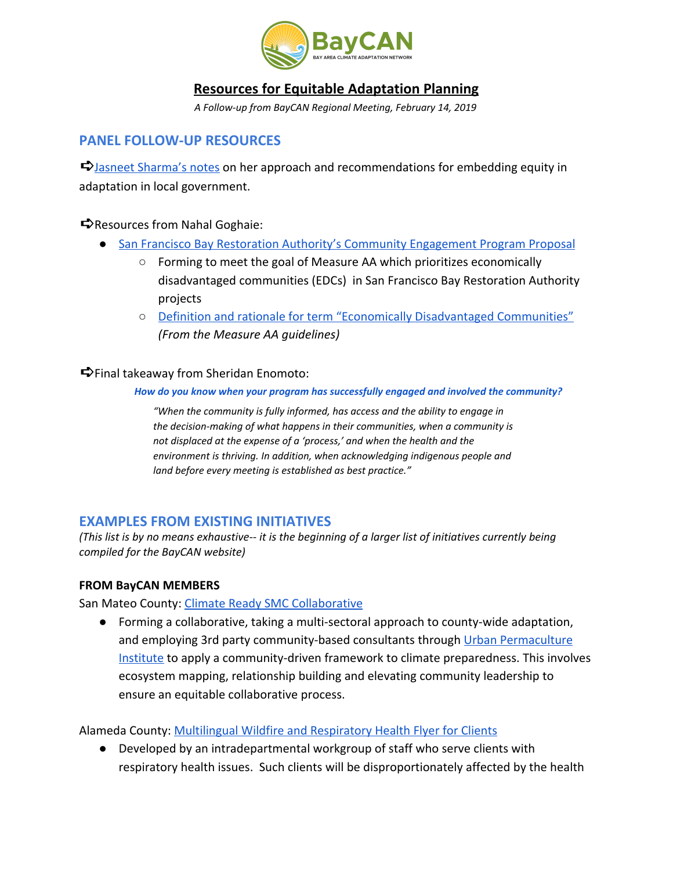

# **Resources for Equitable Adaptation Planning**

*A Follow-up from BayCAN Regional Meeting, February 14, 2019*

# **PANEL FOLLOW-UP RESOURCES**

➪[Jasneet Sharma's notes](https://docs.wixstatic.com/ugd/700f86_5284bc5f91fb4bcb834e6efe65c0652a.pdf) on her approach and recommendations for embedding equity in adaptation in local government.

➪Resources from Nahal Goghaie:

- [San Francisco Bay Restoration Authority's Community Engagement Program Proposal](http://www.sfbayrestore.org/packets-advisory/2018-10-05/Item%209_Proposal%20to%20Develop%20a%20Community%20Engagement%20Program.pdf)
	- Forming to meet the goal of Measure AA which prioritizes economically disadvantaged communities (EDCs) in San Francisco Bay Restoration Authority projects
	- [Definition and rationale for term "Economically Disadvantaged Communities"](http://sfbayrestore.org/packets-advisory/2017-05-12/Item%208%20EDC%20Definition%20for%20Grant%20Guidelines.pdf) *(From the Measure AA guidelines)*

➪Final takeaway from Sheridan Enomoto:

*How do you know when your program has successfully engaged and involved the community?*

*"When the community is fully informed, has access and the ability to engage in the decision-making of what happens in their communities, when a community is not displaced at the expense of a 'process,' and when the health and the environment is thriving. In addition, when acknowledging indigenous people and land before every meeting is established as best practice."*

# **EXAMPLES FROM EXISTING INITIATIVES**

(This list is by no means exhaustive-- it is the beginning of a larger list of initiatives currently being *compiled for the BayCAN website)*

## **FROM BayCAN MEMBERS**

San Mateo County: [Climate Ready SMC Collaborative](https://climatereadysmc.org/)

● Forming a collaborative, taking a multi-sectoral approach to county-wide adaptation, and employing 3rd party community-based consultants through [Urban Permaculture](https://www.upisf.com/) [Institute](https://www.upisf.com/) to apply a community-driven framework to climate preparedness. This involves ecosystem mapping, relationship building and elevating community leadership to ensure an equitable collaborative process.

Alameda County: [Multilingual Wildfire and Respiratory Health Flyer for Clients](http://www.acphd.org/media/524152/wildfire-smoke-flyer-final-eng.pdf)

● Developed by an intradepartmental workgroup of staff who serve clients with respiratory health issues. Such clients will be disproportionately affected by the health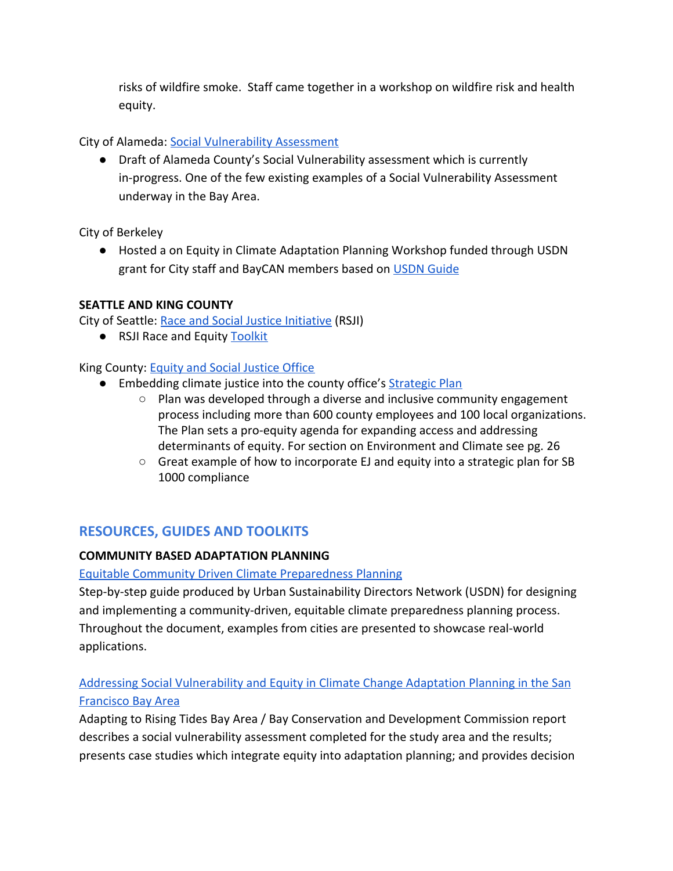risks of wildfire smoke. Staff came together in a workshop on wildfire risk and health equity.

City of Alameda: [Social Vulnerability Assessment](https://docs.wixstatic.com/ugd/700f86_03728722db944912b6cb757106db6996.pdf)

● Draft of Alameda County's Social Vulnerability assessment which is currently in-progress. One of the few existing examples of a Social Vulnerability Assessment underway in the Bay Area.

City of Berkeley

● Hosted a on Equity in Climate Adaptation Planning Workshop funded through USDN grant for City staff and BayCAN members based on [USDN Guide](https://www.usdn.org/uploads/cms/documents/usdn_guide_to_equitable_community-driven_climate_preparedness-_high_res.pdf)

# **SEATTLE AND KING COUNTY**

City of Seattle: [Race and Social Justice Initiative](https://www.seattle.gov/rsji) (RSJI)

● RSJI Race and Equity [Toolkit](https://www.seattle.gov/Documents/Departments/RSJI/RacialEquityToolkit_FINAL_August2012.pdf)

King County: [Equity and Social Justice Office](https://www.kingcounty.gov/elected/executive/equity-social-justice.aspx)

- Embedding climate justice into the county office's [Strategic Plan](https://aqua.kingcounty.gov/dnrp/library/dnrp-directors-office/equity-social-justice/201609-ESJ-SP-FULL.pdf)
	- Plan was developed through a diverse and inclusive community engagement process including more than 600 county employees and 100 local organizations. The Plan sets a pro-equity agenda for expanding access and addressing determinants of equity. For section on Environment and Climate see pg. 26
	- $\circ$  Great example of how to incorporate EJ and equity into a strategic plan for SB 1000 compliance

# **RESOURCES, GUIDES AND TOOLKITS**

## **COMMUNITY BASED ADAPTATION PLANNING**

[Equitable Community Driven Climate Preparedness Planning](https://www.usdn.org/uploads/cms/documents/usdn_guide_to_equitable_community-driven_climate_preparedness-_high_res.pdf)

Step-by-step guide produced by Urban Sustainability Directors Network (USDN) for designing and implementing a community-driven, equitable climate preparedness planning process. Throughout the document, examples from cities are presented to showcase real-world applications.

# [Addressing Social Vulnerability and Equity in Climate Change Adaptation Planning in the San](http://www.adaptingtorisingtides.org/wp-content/uploads/2015/04/ART_Equity_WhitePaper.pdf) [Francisco Bay Area](http://www.adaptingtorisingtides.org/wp-content/uploads/2015/04/ART_Equity_WhitePaper.pdf)

Adapting to Rising Tides Bay Area / Bay Conservation and Development Commission report describes a social vulnerability assessment completed for the study area and the results; presents case studies which integrate equity into adaptation planning; and provides decision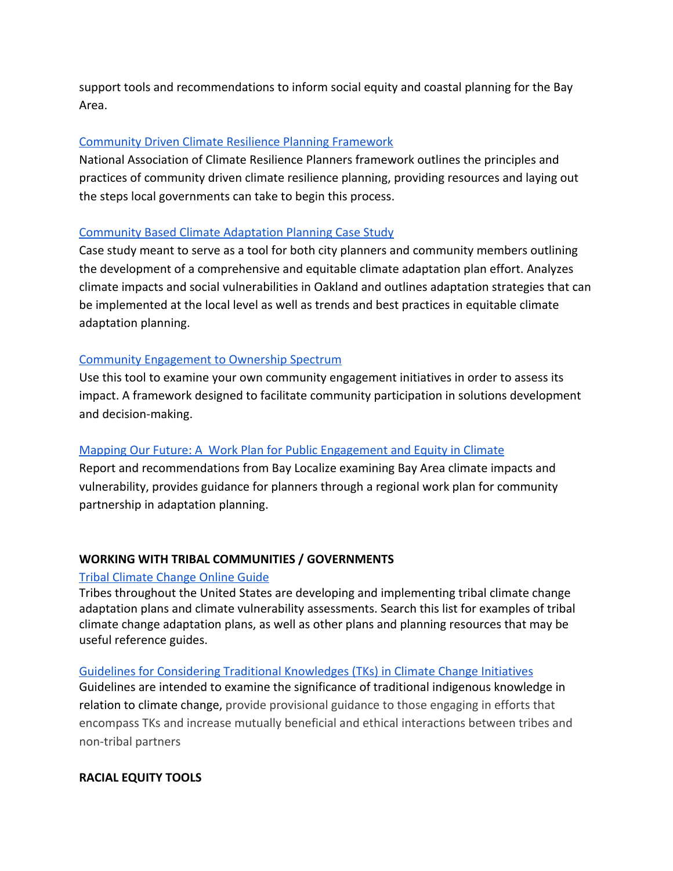support tools and recommendations to inform social equity and coastal planning for the Bay Area.

## [Community Driven Climate Resilience Planning](https://movementstrategy.org/b/wp-content/uploads/2017/05/WEB-CD-CRP_Updated-5.11.17.pdf) [Framework](https://movementstrategy.org/b/wp-content/uploads/2017/05/WEB-CD-CRP_Updated-5.11.17.pdf)

National Association of Climate Resilience Planners framework outlines the principles and practices of community driven climate resilience planning, providing resources and laying out the steps local governments can take to begin this process.

## [Community Based Climate Adaptation Planning Case Study](https://www.energy.ca.gov/2012publications/CEC-500-2012-038/CEC-500-2012-038.pdf)

Case study meant to serve as a tool for both city planners and community members outlining the development of a comprehensive and equitable climate adaptation plan effort. Analyzes climate impacts and social vulnerabilities in Oakland and outlines adaptation strategies that can be implemented at the local level as well as trends and best practices in equitable climate adaptation planning.

## [Community Engagement to Ownership Spectrum](https://www.usdn.org/uploads/cms/documents/community_engagement_to_ownership_-_tools_and_case_studies_final.pdf)

Use this tool to examine your own community engagement initiatives in order to assess its impact. A framework designed to facilitate community participation in solutions development and decision-making.

## [Mapping Our Future: A Work Plan for Public Engagement and Equity in Climate](http://www.baylocalize.org/files/EquityReportFinal041213v11.pdf)

Report and recommendations from Bay Localize examining Bay Area climate impacts and vulnerability, provides guidance for planners through a regional work plan for community partnership in adaptation planning.

## **WORKING WITH TRIBAL COMMUNITIES / GOVERNMENTS**

## [Tribal Climate Change Online Guide](https://tribalclimateguide.uoregon.edu/adaptation-plans)

Tribes throughout the United States are developing and implementing tribal climate change adaptation plans and climate vulnerability assessments. Search this list for examples of tribal climate change adaptation plans, as well as other plans and planning resources that may be useful reference guides.

#### [Guidelines for Considering Traditional Knowledges \(TKs\) in Climate Change Initiatives](https://climatetkw.wordpress.com/guidelines/)

Guidelines are intended to examine the significance of traditional indigenous knowledge in relation to climate change, provide provisional guidance to those engaging in efforts that encompass TKs and increase mutually beneficial and ethical interactions between tribes and non-tribal partners

## **RACIAL EQUITY TOOLS**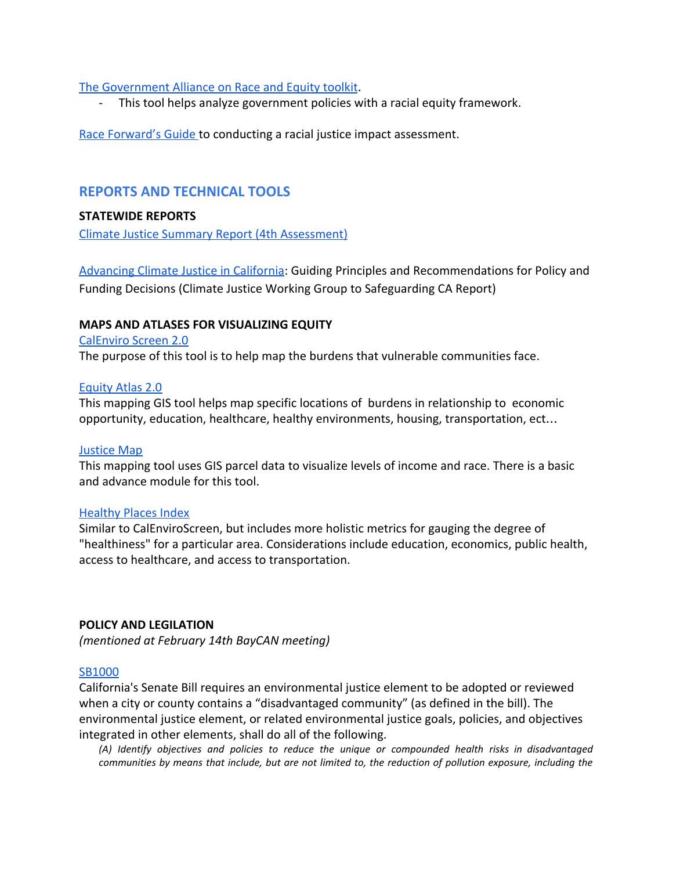#### [The Government Alliance on Race and Equity toolkit.](https://www.racialequityalliance.org/wp-content/uploads/2015/10/GARE-Racial_Equity_Toolkit.pdf)

- This tool helps analyze government policies with a racial equity framework.

[Race Forward's Guide t](https://www.raceforward.org/sites/default/files/RacialJusticeImpactAssessment_v5.pdf)o conducting a racial justice impact assessment.

# **REPORTS AND TECHNICAL TOOLS**

#### **STATEWIDE REPORTS**

[Climate Justice Summary Report \(4th Assessment\)](http://www.climateassessment.ca.gov/state/docs/20180827-ClimateJusticeSummary.pdf)

[Advancing Climate Justice in California:](http://www.healthyworldforall.org/en/express-img/17081516-3570-img1.pdf) Guiding Principles and Recommendations for Policy and Funding Decisions (Climate Justice Working Group to Safeguarding CA Report)

#### **MAPS AND ATLASES FOR VISUALIZING EQUITY**

[CalEnviro Screen 2.0](https://oehha.ca.gov/calenviroscreen/report/calenviroscreen-version-20) The purpose of this tool is to help map the burdens that vulnerable communities face.

#### [Equity Atlas 2.0](https://gis.oregonmetro.gov/equityAtlas/)

This mapping GIS tool helps map specific locations of burdens in relationship to economic opportunity, education, healthcare, healthy environments, housing, transportation, ect…

#### [Justice Map](http://www.justicemap.org/index.php?gsLayer=indian&gfLon=-101.60518545&gfLat=33.44897798&giZoom=5&gsGeo=county&giAdvanced=1&)

This mapping tool uses GIS parcel data to visualize levels of income and race. There is a basic and advance module for this tool.

#### [Healthy Places Index](https://map.healthyplacesindex.org/)

Similar to CalEnviroScreen, but includes more holistic metrics for gauging the degree of "healthiness" for a particular area. Considerations include education, economics, public health, access to healthcare, and access to transportation.

## **POLICY AND LEGILATION**

*(mentioned at February 14th BayCAN meeting)*

#### [SB1000](https://leginfo.legislature.ca.gov/faces/billNavClient.xhtml?bill_id=201520160SB1000)

California's Senate Bill requires an environmental justice element to be adopted or reviewed when a city or county contains a "disadvantaged community" (as defined in the bill). The environmental justice element, or related environmental justice goals, policies, and objectives integrated in other elements, shall do all of the following.

*(A) Identify objectives and policies to reduce the unique or compounded health risks in disadvantaged* communities by means that include, but are not limited to, the reduction of pollution exposure, including the